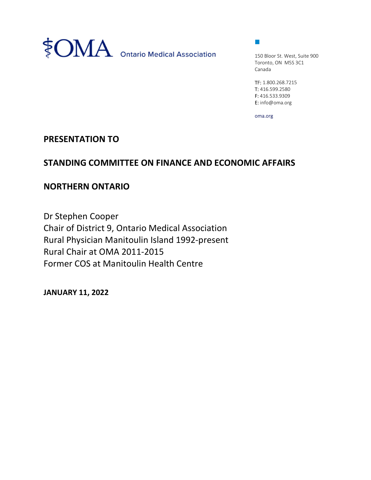

 $\mathcal{L}_{\mathcal{A}}$ 

150 Bloor St. West, Suite 900 Toronto, ON M5S 3C1 Canada

TF: 1.800.268.7215 T: 416.599.2580 F: 416.533.9309 E: info@oma.org

oma.org

## PRESENTATION TO

## STANDING COMMITTEE ON FINANCE AND ECONOMIC AFFAIRS

## NORTHERN ONTARIO

Dr Stephen Cooper Chair of District 9, Ontario Medical Association Rural Physician Manitoulin Island 1992-present Rural Chair at OMA 2011-2015 Former COS at Manitoulin Health Centre

JANUARY 11, 2022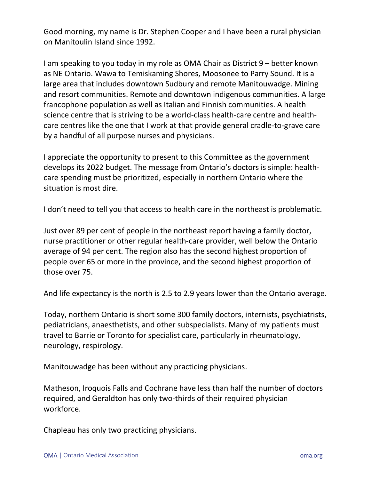Good morning, my name is Dr. Stephen Cooper and I have been a rural physician on Manitoulin Island since 1992.

I am speaking to you today in my role as OMA Chair as District 9 – better known as NE Ontario. Wawa to Temiskaming Shores, Moosonee to Parry Sound. It is a large area that includes downtown Sudbury and remote Manitouwadge. Mining and resort communities. Remote and downtown indigenous communities. A large francophone population as well as Italian and Finnish communities. A health science centre that is striving to be a world-class health-care centre and healthcare centres like the one that I work at that provide general cradle-to-grave care by a handful of all purpose nurses and physicians.

I appreciate the opportunity to present to this Committee as the government develops its 2022 budget. The message from Ontario's doctors is simple: healthcare spending must be prioritized, especially in northern Ontario where the situation is most dire.

I don't need to tell you that access to health care in the northeast is problematic.

Just over 89 per cent of people in the northeast report having a family doctor, nurse practitioner or other regular health-care provider, well below the Ontario average of 94 per cent. The region also has the second highest proportion of people over 65 or more in the province, and the second highest proportion of those over 75.

And life expectancy is the north is 2.5 to 2.9 years lower than the Ontario average.

Today, northern Ontario is short some 300 family doctors, internists, psychiatrists, pediatricians, anaesthetists, and other subspecialists. Many of my patients must travel to Barrie or Toronto for specialist care, particularly in rheumatology, neurology, respirology.

Manitouwadge has been without any practicing physicians.

Matheson, Iroquois Falls and Cochrane have less than half the number of doctors required, and Geraldton has only two-thirds of their required physician workforce.

Chapleau has only two practicing physicians.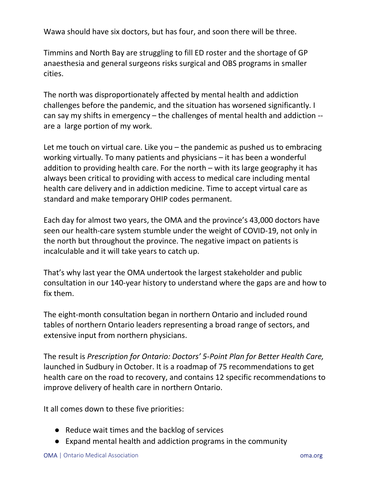Wawa should have six doctors, but has four, and soon there will be three.

Timmins and North Bay are struggling to fill ED roster and the shortage of GP anaesthesia and general surgeons risks surgical and OBS programs in smaller cities.

The north was disproportionately affected by mental health and addiction challenges before the pandemic, and the situation has worsened significantly. I can say my shifts in emergency – the challenges of mental health and addiction - are a large portion of my work.

Let me touch on virtual care. Like you – the pandemic as pushed us to embracing working virtually. To many patients and physicians – it has been a wonderful addition to providing health care. For the north – with its large geography it has always been critical to providing with access to medical care including mental health care delivery and in addiction medicine. Time to accept virtual care as standard and make temporary OHIP codes permanent.

Each day for almost two years, the OMA and the province's 43,000 doctors have seen our health-care system stumble under the weight of COVID-19, not only in the north but throughout the province. The negative impact on patients is incalculable and it will take years to catch up.

That's why last year the OMA undertook the largest stakeholder and public consultation in our 140-year history to understand where the gaps are and how to fix them.

The eight-month consultation began in northern Ontario and included round tables of northern Ontario leaders representing a broad range of sectors, and extensive input from northern physicians.

The result is Prescription for Ontario: Doctors' 5-Point Plan for Better Health Care, launched in Sudbury in October. It is a roadmap of 75 recommendations to get health care on the road to recovery, and contains 12 specific recommendations to improve delivery of health care in northern Ontario.

It all comes down to these five priorities:

- Reduce wait times and the backlog of services
- Expand mental health and addiction programs in the community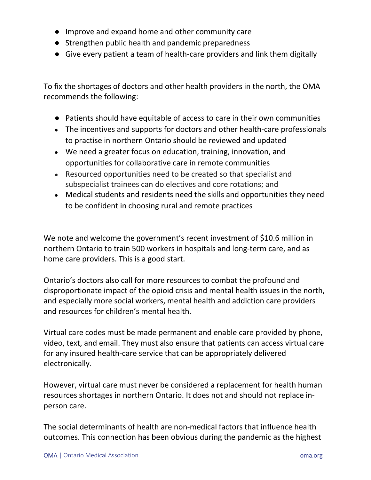- Improve and expand home and other community care
- Strengthen public health and pandemic preparedness
- Give every patient a team of health-care providers and link them digitally

To fix the shortages of doctors and other health providers in the north, the OMA recommends the following:

- Patients should have equitable of access to care in their own communities
- The incentives and supports for doctors and other health-care professionals to practise in northern Ontario should be reviewed and updated
- We need a greater focus on education, training, innovation, and opportunities for collaborative care in remote communities
- Resourced opportunities need to be created so that specialist and subspecialist trainees can do electives and core rotations; and
- Medical students and residents need the skills and opportunities they need to be confident in choosing rural and remote practices

We note and welcome the government's recent investment of \$10.6 million in northern Ontario to train 500 workers in hospitals and long-term care, and as home care providers. This is a good start.

Ontario's doctors also call for more resources to combat the profound and disproportionate impact of the opioid crisis and mental health issues in the north, and especially more social workers, mental health and addiction care providers and resources for children's mental health.

Virtual care codes must be made permanent and enable care provided by phone, video, text, and email. They must also ensure that patients can access virtual care for any insured health-care service that can be appropriately delivered electronically.

However, virtual care must never be considered a replacement for health human resources shortages in northern Ontario. It does not and should not replace inperson care.

The social determinants of health are non-medical factors that influence health outcomes. This connection has been obvious during the pandemic as the highest